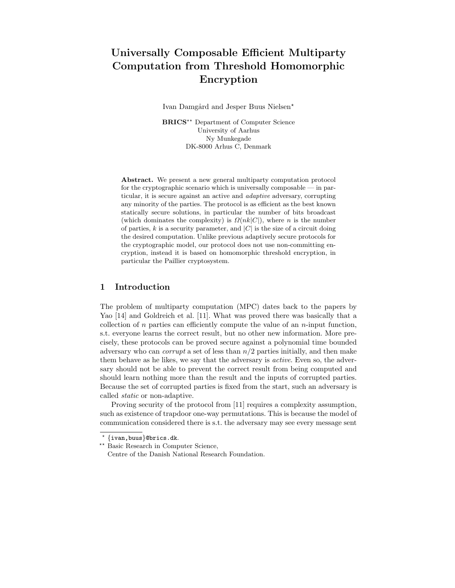# Universally Composable Efficient Multiparty Computation from Threshold Homomorphic Encryption

Ivan Damgård and Jesper Buus Nielsen\*

BRICS<sup>\*\*</sup> Department of Computer Science University of Aarhus Ny Munkegade DK-8000 Arhus C, Denmark

Abstract. We present a new general multiparty computation protocol for the cryptographic scenario which is universally composable — in particular, it is secure against an active and adaptive adversary, corrupting any minority of the parties. The protocol is as efficient as the best known statically secure solutions, in particular the number of bits broadcast (which dominates the complexity) is  $\Omega(nk|C|)$ , where n is the number of parties,  $k$  is a security parameter, and  $|C|$  is the size of a circuit doing the desired computation. Unlike previous adaptively secure protocols for the cryptographic model, our protocol does not use non-committing encryption, instead it is based on homomorphic threshold encryption, in particular the Paillier cryptosystem.

# 1 Introduction

The problem of multiparty computation (MPC) dates back to the papers by Yao [14] and Goldreich et al. [11]. What was proved there was basically that a collection of n parties can efficiently compute the value of an  $n$ -input function, s.t. everyone learns the correct result, but no other new information. More precisely, these protocols can be proved secure against a polynomial time bounded adversary who can *corrupt* a set of less than  $n/2$  parties initially, and then make them behave as he likes, we say that the adversary is active. Even so, the adversary should not be able to prevent the correct result from being computed and should learn nothing more than the result and the inputs of corrupted parties. Because the set of corrupted parties is fixed from the start, such an adversary is called static or non-adaptive.

Proving security of the protocol from [11] requires a complexity assumption, such as existence of trapdoor one-way permutations. This is because the model of communication considered there is s.t. the adversary may see every message sent

<sup>?</sup> {ivan,buus}@brics.dk.

<sup>\*\*</sup> Basic Research in Computer Science,

Centre of the Danish National Research Foundation.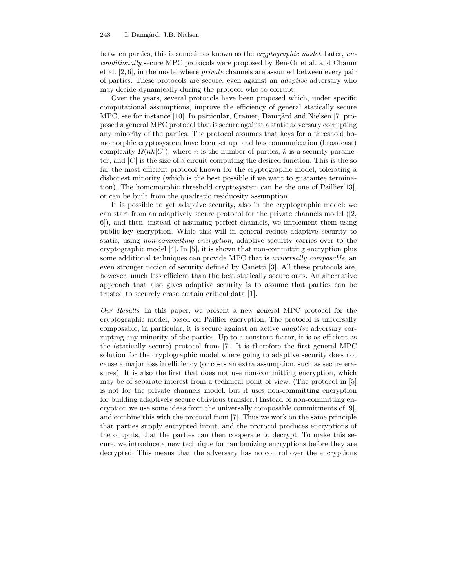between parties, this is sometimes known as the cryptographic model. Later, unconditionally secure MPC protocols were proposed by Ben-Or et al. and Chaum et al. [2, 6], in the model where private channels are assumed between every pair of parties. These protocols are secure, even against an adaptive adversary who may decide dynamically during the protocol who to corrupt.

Over the years, several protocols have been proposed which, under specific computational assumptions, improve the efficiency of general statically secure MPC, see for instance [10]. In particular, Cramer, Damgård and Nielsen [7] proposed a general MPC protocol that is secure against a static adversary corrupting any minority of the parties. The protocol assumes that keys for a threshold homomorphic cryptosystem have been set up, and has communication (broadcast) complexity  $\Omega(nk|C|)$ , where n is the number of parties, k is a security parameter, and  $|C|$  is the size of a circuit computing the desired function. This is the so far the most efficient protocol known for the cryptographic model, tolerating a dishonest minority (which is the best possible if we want to guarantee termination). The homomorphic threshold cryptosystem can be the one of Paillier[13], or can be built from the quadratic residuosity assumption.

It is possible to get adaptive security, also in the cryptographic model: we can start from an adaptively secure protocol for the private channels model ([2, 6]), and then, instead of assuming perfect channels, we implement them using public-key encryption. While this will in general reduce adaptive security to static, using non-committing encryption, adaptive security carries over to the cryptographic model [4]. In [5], it is shown that non-committing encryption plus some additional techniques can provide MPC that is universally composable, an even stronger notion of security defined by Canetti [3]. All these protocols are, however, much less efficient than the best statically secure ones. An alternative approach that also gives adaptive security is to assume that parties can be trusted to securely erase certain critical data [1].

Our Results In this paper, we present a new general MPC protocol for the cryptographic model, based on Paillier encryption. The protocol is universally composable, in particular, it is secure against an active adaptive adversary corrupting any minority of the parties. Up to a constant factor, it is as efficient as the (statically secure) protocol from [7]. It is therefore the first general MPC solution for the cryptographic model where going to adaptive security does not cause a major loss in efficiency (or costs an extra assumption, such as secure erasures). It is also the first that does not use non-committing encryption, which may be of separate interest from a technical point of view. (The protocol in [5] is not for the private channels model, but it uses non-committing encryption for building adaptively secure oblivious transfer.) Instead of non-committing encryption we use some ideas from the universally composable commitments of [9], and combine this with the protocol from [7]. Thus we work on the same principle that parties supply encrypted input, and the protocol produces encryptions of the outputs, that the parties can then cooperate to decrypt. To make this secure, we introduce a new technique for randomizing encryptions before they are decrypted. This means that the adversary has no control over the encryptions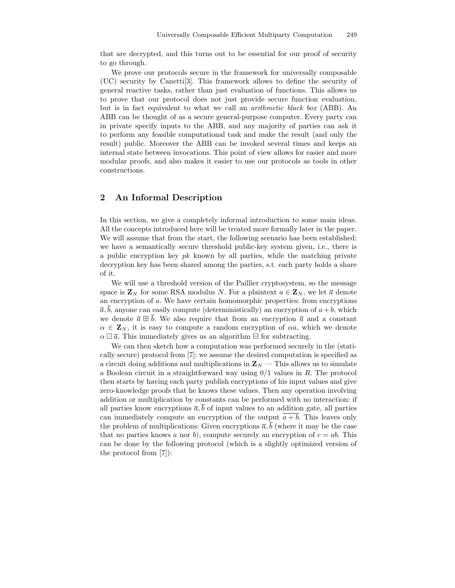that are decrypted, and this turns out to be essential for our proof of security to go through.

We prove our protocols secure in the framework for universally composable (UC) security by Canetti[3]. This framework allows to define the security of general reactive tasks, rather than just evaluation of functions. This allows us to prove that our protocol does not just provide secure function evaluation, but is in fact equivalent to what we call an arithmetic black box (ABB). An ABB can be thought of as a secure general-purpose computer. Every party can in private specify inputs to the ABB, and any majority of parties can ask it to perform any feasible computational task and make the result (and only the result) public. Moreover the ABB can be invoked several times and keeps an internal state between invocations. This point of view allows for easier and more modular proofs, and also makes it easier to use our protocols as tools in other constructions.

# 2 An Informal Description

In this section, we give a completely informal introduction to some main ideas. All the concepts introduced here will be treated more formally later in the paper. We will assume that from the start, the following scenario has been established: we have a semantically secure threshold public-key system given, i.e., there is a public encryption key  $pk$  known by all parties, while the matching private decryption key has been shared among the parties, s.t. each party holds a share of it.

We will use a threshold version of the Paillier cryptosystem, so the message space is  $\mathbf{Z}_N$  for some RSA modulus N. For a plaintext  $a \in \mathbf{Z}_N$ , we let  $\overline{a}$  denote an encryption of a. We have certain homomorphic properties: from encryptions  $\overline{a}$ , b, anyone can easily compute (deterministically) an encryption of  $a+b$ , which we denote  $\overline{a} \boxplus \overline{b}$ . We also require that from an encryption  $\overline{a}$  and a constant  $\alpha \in \mathbf{Z}_N$ , it is easy to compute a random encryption of  $\alpha a$ , which we denote  $\alpha \boxdot \overline{a}$ . This immediately gives us an algorithm  $\boxdot$  for subtracting.

We can then sketch how a computation was performed securely in the (statically secure) protocol from [7]: we assume the desired computation is specified as a circuit doing additions and multiplications in  $\mathbf{Z}_N$  — This allows us to simulate a Boolean circuit in a straightforward way using  $0/1$  values in R. The protocol then starts by having each party publish encryptions of his input values and give zero-knowledge proofs that he knows these values. Then any operation involving addition or multiplication by constants can be performed with no interaction: if all parties know encryptions  $\overline{a}$ ,  $\overline{b}$  of input values to an addition gate, all parties can immediately compute an encryption of the output  $a + b$ . This leaves only the problem of multiplications: Given encryptions  $\overline{a}, \overline{b}$  (where it may be the case that no parties knows a nor b), compute securely an encryption of  $c = ab$ . This can be done by the following protocol (which is a slightly optimized version of the protocol from [7]):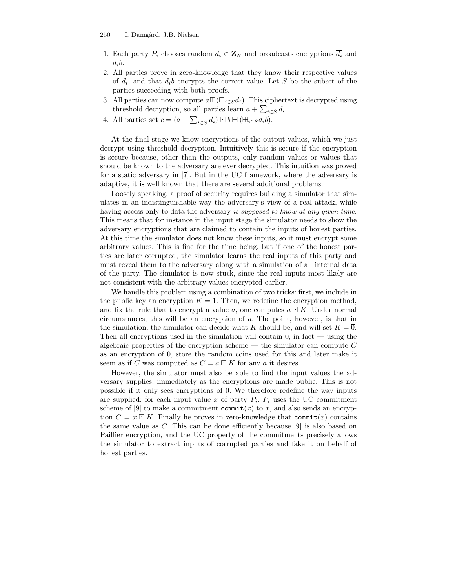- 1. Each party  $P_i$  chooses random  $d_i \in \mathbf{Z}_N$  and broadcasts encryptions  $\overline{d_i}$  and  $d_i b$ .
- 2. All parties prove in zero-knowledge that they know their respective values of  $d_i$ , and that  $d_i b$  encrypts the correct value. Let S be the subset of the parties succeeding with both proofs.
- 3. All parties can now compute  $\overline{a}\boxplus(\boxplus_{i\in S}\overline{d}_i)$ . This ciphertext is decrypted using threshold decryption, so all parties learn  $a + \sum_{i \in S} d_i$ .
- 4. All parties set  $\overline{c} = (a + \sum_{i \in S} d_i) \boxdot \overline{b} \boxminus (\boxplus_{i \in S} \overline{d_i b}).$

At the final stage we know encryptions of the output values, which we just decrypt using threshold decryption. Intuitively this is secure if the encryption is secure because, other than the outputs, only random values or values that should be known to the adversary are ever decrypted. This intuition was proved for a static adversary in [7]. But in the UC framework, where the adversary is adaptive, it is well known that there are several additional problems:

Loosely speaking, a proof of security requires building a simulator that simulates in an indistinguishable way the adversary's view of a real attack, while having access only to data the adversary is supposed to know at any given time. This means that for instance in the input stage the simulator needs to show the adversary encryptions that are claimed to contain the inputs of honest parties. At this time the simulator does not know these inputs, so it must encrypt some arbitrary values. This is fine for the time being, but if one of the honest parties are later corrupted, the simulator learns the real inputs of this party and must reveal them to the adversary along with a simulation of all internal data of the party. The simulator is now stuck, since the real inputs most likely are not consistent with the arbitrary values encrypted earlier.

We handle this problem using a combination of two tricks: first, we include in the public key an encryption  $K = \overline{1}$ . Then, we redefine the encryption method, and fix the rule that to encrypt a value a, one computes  $a \square K$ . Under normal circumstances, this will be an encryption of a. The point, however, is that in the simulation, the simulator can decide what K should be, and will set  $K = \overline{0}$ . Then all encryptions used in the simulation will contain 0, in fact — using the algebraic properties of the encryption scheme — the simulator can compute  $C$ as an encryption of 0, store the random coins used for this and later make it seem as if C was computed as  $C = a \square K$  for any a it desires.

However, the simulator must also be able to find the input values the adversary supplies, immediately as the encryptions are made public. This is not possible if it only sees encryptions of 0. We therefore redefine the way inputs are supplied: for each input value x of party  $P_i$ ,  $P_i$  uses the UC commitment scheme of [9] to make a commitment commit(x) to x, and also sends an encryption  $C = x \square K$ . Finally he proves in zero-knowledge that commit(x) contains the same value as  $C$ . This can be done efficiently because [9] is also based on Paillier encryption, and the UC property of the commitments precisely allows the simulator to extract inputs of corrupted parties and fake it on behalf of honest parties.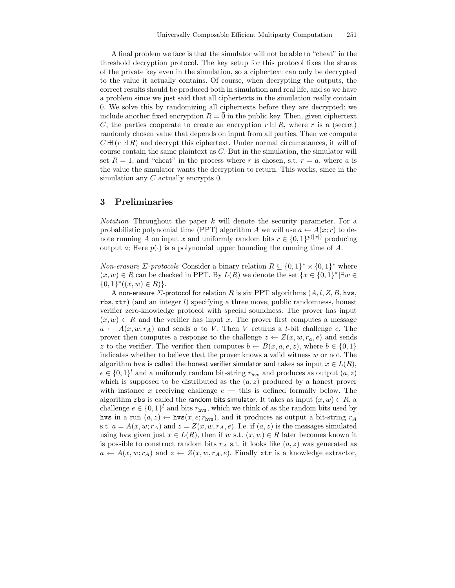A final problem we face is that the simulator will not be able to "cheat" in the threshold decryption protocol. The key setup for this protocol fixes the shares of the private key even in the simulation, so a ciphertext can only be decrypted to the value it actually contains. Of course, when decrypting the outputs, the correct results should be produced both in simulation and real life, and so we have a problem since we just said that all ciphertexts in the simulation really contain 0. We solve this by randomizing all ciphertexts before they are decrypted: we include another fixed encryption  $R = \overline{0}$  in the public key. Then, given ciphertext C, the parties cooperate to create an encryption  $r \square R$ , where r is a (secret) randomly chosen value that depends on input from all parties. Then we compute  $C \boxplus (r \boxdot R)$  and decrypt this ciphertext. Under normal circumstances, it will of course contain the same plaintext as C. But in the simulation, the simulator will set  $R = \overline{1}$ , and "cheat" in the process where r is chosen, s.t.  $r = a$ , where a is the value the simulator wants the decryption to return. This works, since in the simulation any  $C$  actually encrypts 0.

# 3 Preliminaries

*Notation* Throughout the paper  $k$  will denote the security parameter. For a probabilistic polynomial time (PPT) algorithm A we will use  $a \leftarrow A(x; r)$  to denote running A on input x and uniformly random bits  $r \in \{0,1\}^{p(|x|)}$  producing output a; Here  $p(\cdot)$  is a polynomial upper bounding the running time of A.

*Non-erasure*  $\Sigma$ -protocols Consider a binary relation  $R \subseteq \{0,1\}^* \times \{0,1\}^*$  where  $(x, w) \in R$  can be checked in PPT. By  $L(R)$  we denote the set  $\{x \in \{0, 1\}^*\}$   $\exists w \in R$  ${0,1}^*((x,w) \in R)$ .

A non-erasure  $\Sigma$ -protocol for relation R is six PPT algorithms  $(A, l, Z, B, \text{hvs}, A)$ rbs, xtr) (and an integer l) specifying a three move, public randomness, honest verifier zero-knowledge protocol with special soundness. The prover has input  $(x, w) \in R$  and the verifier has input x. The prover first computes a message  $a \leftarrow A(x, w; r_A)$  and sends a to V. Then V returns a l-bit challenge e. The prover then computes a response to the challenge  $z \leftarrow Z(x, w, r_a, e)$  and sends z to the verifier. The verifier then computes  $b \leftarrow B(x, a, e, z)$ , where  $b \in \{0, 1\}$ indicates whether to believe that the prover knows a valid witness  $w$  or not. The algorithm hvs is called the honest verifier simulator and takes as input  $x \in L(R)$ ,  $e \in \{0,1\}^l$  and a uniformly random bit-string  $r_{\text{hvs}}$  and produces as output  $(a, z)$ which is supposed to be distributed as the  $(a, z)$  produced by a honest prover with instance x receiving challenge  $e$  — this is defined formally below. The algorithm rbs is called the random bits simulator. It takes as input  $(x, w) \in R$ , a challenge  $e \in \{0,1\}^l$  and bits  $r_{\text{hvs}}$ , which we think of as the random bits used by hvs in a run  $(a, z) \leftarrow \text{hvs}(x, e; r_{\text{hvs}})$ , and it produces as output a bit-string  $r_A$ s.t.  $a = A(x, w; r_A)$  and  $z = Z(x, w, r_A, e)$ . I.e. if  $(a, z)$  is the messages simulated using hvs given just  $x \in L(R)$ , then if w s.t.  $(x, w) \in R$  later becomes known it is possible to construct random bits  $r_A$  s.t. it looks like  $(a, z)$  was generated as  $a \leftarrow A(x, w; r_A)$  and  $z \leftarrow Z(x, w, r_A, e)$ . Finally xtr is a knowledge extractor,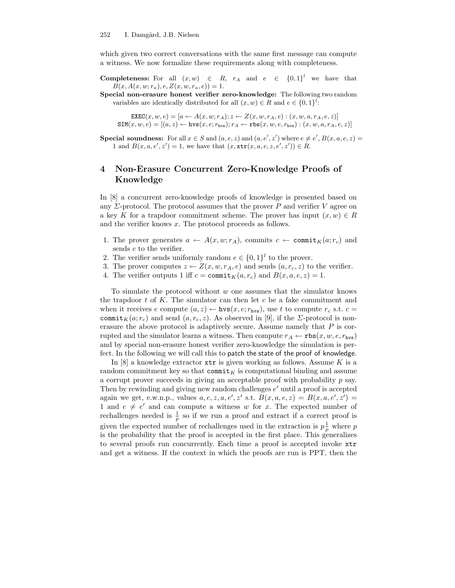which given two correct conversations with the same first message can compute a witness. We now formalize these requirements along with completeness.

- **Completeness:** For all  $(x, w) \in R$ ,  $r_A$  and  $e \in \{0, 1\}^l$  we have that  $B(x, A(x, w; r_a), e, Z(x, w, r_a, e)) = 1.$
- Special non-erasure honest verifier zero-knowledge: The following two random variables are identically distributed for all  $(x, w) \in R$  and  $e \in \{0, 1\}^l$ :

$$
\text{EXEC}(x, w, e) = [a \leftarrow A(x, w; r_A); z \leftarrow Z(x, w, r_A, e) : (x, w, a, r_A, e, z)]
$$
  
\n
$$
\text{SIM}(x, w, e) = [(a, z) \leftarrow \text{hvs}(x, e; r_{\text{hvs}}); r_A \leftarrow \text{rbs}(x, w, e, r_{\text{hvs}}) : (x, w, a, r_A, e, z)]
$$

**Special soundness:** For all  $x \in S$  and  $(a, e, z)$  and  $(a, e', z')$  where  $e \neq e', B(x, a, e, z) =$ 1 and  $B(x, a, e', z') = 1$ , we have that  $(x, \text{str}(x, a, e, z, e', z')) \in R$ .

# 4 Non-Erasure Concurrent Zero-Knowledge Proofs of Knowledge

In [8] a concurrent zero-knowledge proofs of knowledge is presented based on any  $\Sigma$ -protocol. The protocol assumes that the prover P and verifier V agree on a key K for a trapdoor commitment scheme. The prover has input  $(x, w) \in R$ and the verifier knows x. The protocol proceeds as follows.

- 1. The prover generates  $a \leftarrow A(x, w; r_A)$ , commits  $c \leftarrow \text{commit}_K(a; r_c)$  and sends  $c$  to the verifier.
- 2. The verifier sends uniformly random  $e \in \{0,1\}^l$  to the prover.
- 3. The prover computes  $z \leftarrow Z(x, w, r_A, e)$  and sends  $(a, r_c, z)$  to the verifier.
- 4. The verifier outputs 1 iff  $c = \text{commit}_K(a, r_c)$  and  $B(x, a, e, z) = 1$ .

To simulate the protocol without  $w$  one assumes that the simulator knows the trapdoor  $t$  of K. The simulator can then let c be a fake commitment and when it receives e compute  $(a, z) \leftarrow \text{hvs}(x, e; r_{\text{hvs}})$ , use t to compute  $r_c$  s.t.  $c =$ commit<sub>K</sub> $(a; r_c)$  and send  $(a, r_c, z)$ . As observed in [9], if the *Σ*-protocol is nonerasure the above protocol is adaptively secure. Assume namely that  $P$  is corrupted and the simulator learns a witness. Then compute  $r_A \leftarrow \texttt{rbs}(x, w, e, r_{\text{hvs}})$ and by special non-erasure honest verifier zero-knowledge the simulation is perfect. In the following we will call this to patch the state of the proof of knowledge.

In  $[8]$  a knowledge extractor  $x \text{tr}$  is given working as follows. Assume K is a random commitment key so that  $\text{commit}_K$  is computational binding and assume a corrupt prover succeeds in giving an acceptable proof with probability p say. Then by rewinding and giving new random challenges  $e'$  until a proof is accepted again we get, e.w.n.p., values  $a, e, z, a, e', z'$  s.t.  $B(x, a, e, z) = B(x, a, e', z') =$ 1 and  $e \neq e'$  and can compute a witness w for x. The expected number of rechallenges needed is  $\frac{1}{p}$  so if we run a proof and extract if a correct proof is given the expected number of rechallenges used in the extraction is  $p\frac{1}{p}$  where  $p$ is the probability that the proof is accepted in the first place. This generalizes to several proofs run concurrently. Each time a proof is accepted invoke xtr and get a witness. If the context in which the proofs are run is PPT, then the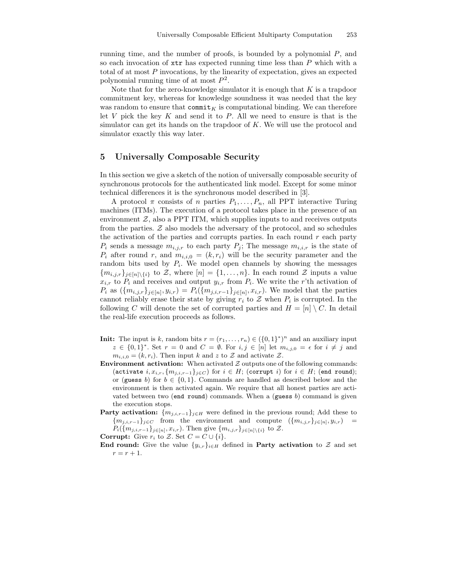running time, and the number of proofs, is bounded by a polynomial P, and so each invocation of  $xtr$  has expected running time less than  $P$  which with a total of at most P invocations, by the linearity of expectation, gives an expected polynomial running time of at most  $P^2$ .

Note that for the zero-knowledge simulator it is enough that  $K$  is a trapdoor commitment key, whereas for knowledge soundness it was needed that the key was random to ensure that commit<sub>K</sub> is computational binding. We can therefore let  $V$  pick the key  $K$  and send it to  $P$ . All we need to ensure is that is the simulator can get its hands on the trapdoor of  $K$ . We will use the protocol and simulator exactly this way later.

## 5 Universally Composable Security

In this section we give a sketch of the notion of universally composable security of synchronous protocols for the authenticated link model. Except for some minor technical differences it is the synchronous model described in [3].

A protocol  $\pi$  consists of n parties  $P_1, \ldots, P_n$ , all PPT interactive Turing machines (ITMs). The execution of a protocol takes place in the presence of an environment  $\mathcal{Z}$ , also a PPT ITM, which supplies inputs to and receives outputs from the parties.  $Z$  also models the adversary of the protocol, and so schedules the activation of the parties and corrupts parties. In each round  $r$  each party  $P_i$  sends a message  $m_{i,j,r}$  to each party  $P_j$ ; The message  $m_{i,i,r}$  is the state of  $P_i$  after round r, and  $m_{i,i,0} = (k, r_i)$  will be the security parameter and the random bits used by  $P_i$ . We model open channels by showing the messages  ${m_{i,j,r}}_{i\in[n]\setminus\{i\}}$  to Z, where  $[n] = \{1,\ldots,n\}$ . In each round Z inputs a value  $x_{i,r}$  to  $P_i$  and receives and output  $y_{i,r}$  from  $P_i$ . We write the r'th activation of  $P_i$  as  $({m_{i,j,r}}_{j\in[n]}, y_{i,r}) = P_i({m_{j,i,r-1}}_{j\in[n]}, x_{i,r})$ . We model that the parties cannot reliably erase their state by giving  $r_i$  to  $\mathcal Z$  when  $P_i$  is corrupted. In the following C will denote the set of corrupted parties and  $H = [n] \setminus C$ . In detail the real-life execution proceeds as follows.

- **Init:** The input is k, random bits  $r = (r_1, \ldots, r_n) \in (\{0, 1\}^*)^n$  and an auxiliary input  $z \in \{0,1\}^*$ . Set  $r = 0$  and  $C = \emptyset$ . For  $i, j \in [n]$  let  $m_{i,j,0} = \epsilon$  for  $i \neq j$  and  $m_{i,i,0} = (k, r_i)$ . Then input k and z to Z and activate Z.
- **Environment activation:** When activated  $Z$  outputs one of the following commands: (activate  $i, x_{i,r}, \{m_{j,i,r-1}\}_{j\in C}$ ) for  $i \in H$ ; (corrupt i) for  $i \in H$ ; (end round); or (guess b) for  $b \in \{0,1\}$ . Commands are handled as described below and the environment is then activated again. We require that all honest parties are activated between two (end round) commands. When a (guess  $b$ ) command is given the execution stops.
- **Party activation:**  $\{m_{j,i,r-1}\}_{j\in H}$  were defined in the previous round; Add these to  ${m_{j,i,r-1}}_{j\in C}$  from the environment and compute  $({m_{i,j,r}}_{j\in [n]}, y_{i,r})$  =  $P_i(\{m_{j,i,r-1}\}_{j\in[n]},x_{i,r})$ . Then give  $\{m_{i,j,r}\}_{j\in[n]\setminus\{i\}}$  to  $\mathcal{Z}$ . **Corrupt:** Give  $r_i$  to  $\mathcal{Z}$ . Set  $C = C \cup \{i\}$ .

End round: Give the value  $\{y_{i,r}\}_{i\in H}$  defined in Party activation to  $\mathcal Z$  and set  $r = r + 1.$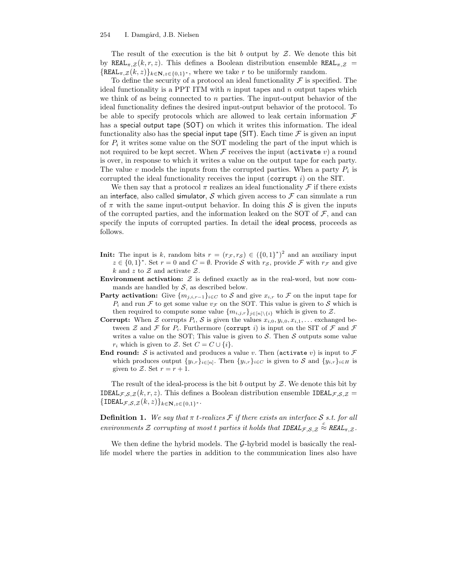#### 254 I. Damgård, J.B. Nielsen

The result of the execution is the bit b output by  $Z$ . We denote this bit by REAL<sub>π, Z</sub> $(k, r, z)$ . This defines a Boolean distribution ensemble REAL<sub>π, Z</sub> =  $\{REAL_{\pi,\mathcal{Z}}(k,z)\}_{k\in\mathbb{N},z\in\{0,1\}^*}$ , where we take r to be uniformly random.

To define the security of a protocol an ideal functionality  $\mathcal F$  is specified. The ideal functionality is a PPT ITM with  $n$  input tapes and  $n$  output tapes which we think of as being connected to  $n$  parties. The input-output behavior of the ideal functionality defines the desired input-output behavior of the protocol. To be able to specify protocols which are allowed to leak certain information  $\mathcal F$ has a special output tape (SOT) on which it writes this information. The ideal functionality also has the special input tape (SIT). Each time  $\mathcal F$  is given an input for  $P_i$  it writes some value on the SOT modeling the part of the input which is not required to be kept secret. When  $\mathcal F$  receives the input (activate v) a round is over, in response to which it writes a value on the output tape for each party. The value  $v$  models the inputs from the corrupted parties. When a party  $P_i$  is corrupted the ideal functionality receives the input (corrupt i) on the SIT.

We then say that a protocol  $\pi$  realizes an ideal functionality  $\mathcal F$  if there exists an interface, also called simulator,  $S$  which given access to  $\mathcal F$  can simulate a run of  $\pi$  with the same input-output behavior. In doing this S is given the inputs of the corrupted parties, and the information leaked on the SOT of  $\mathcal{F}$ , and can specify the inputs of corrupted parties. In detail the ideal process, proceeds as follows.

- **Init:** The input is k, random bits  $r = (r_{\mathcal{F}}, r_{\mathcal{S}}) \in (\{0, 1\}^*)^2$  and an auxiliary input  $z \in \{0,1\}^*$ . Set  $r=0$  and  $C=\emptyset$ . Provide S with  $r_{\mathcal{S}}$ , provide F with  $r_{\mathcal{F}}$  and give k and z to  $Z$  and activate  $Z$ .
- **Environment activation:**  $Z$  is defined exactly as in the real-word, but now commands are handled by  $S$ , as described below.
- **Party activation:** Give  $\{m_{j,i,r-1}\}_{i\in C}$  to S and give  $x_{i,r}$  to F on the input tape for  $P_i$  and run F to get some value  $v_F$  on the SOT. This value is given to S which is then required to compute some value  $\{m_{i,j,r}\}_{j\in[n]\setminus\{i\}}$  which is given to  $\mathcal{Z}$ .
- **Corrupt:** When  $\mathcal Z$  corrupts  $P_i$ ,  $\mathcal S$  is given the values  $x_{i,0}, y_{i,0}, x_{i,1}, \ldots$  exchanged between  $\mathcal Z$  and  $\mathcal F$  for  $P_i$ . Furthermore (corrupt i) is input on the SIT of  $\mathcal F$  and  $\mathcal F$ writes a value on the SOT; This value is given to  $S$ . Then  $S$  outputs some value  $r_i$  which is given to Z. Set  $C = C \cup \{i\}.$
- **End round:** S is activated and produces a value v. Then (activate v) is input to  $\mathcal F$ which produces output  $\{y_{i,r}\}_{i\in[n]}$ . Then  $\{y_{i,r}\}_{i\in C}$  is given to S and  $\{y_{i,r}\}_{i\in H}$  is given to Z. Set  $r = r + 1$ .

The result of the ideal-process is the bit b output by  $Z$ . We denote this bit by **IDEAL**<sub>F,S,Z</sub>(k, r, z). This defines a Boolean distribution ensemble IDEAL<sub>F,S,Z</sub> =  ${\rm \{IDEAL}_{\mathcal{F},\mathcal{S},\mathcal{Z}}(k,z)\}_{k\in\mathbf{N},z\in\{0,1\}^*}.$ 

**Definition 1.** We say that  $\pi$  t-realizes  $\mathcal F$  if there exists an interface  $\mathcal S$  s.t. for all environments  $\mathcal Z$  corrupting at most t parties it holds that IDEAL $\mathcal F, \mathcal S, \mathcal Z \stackrel{c}{\approx} \text{REAL}_{\pi,\mathcal Z}$ .

We then define the hybrid models. The G-hybrid model is basically the reallife model where the parties in addition to the communication lines also have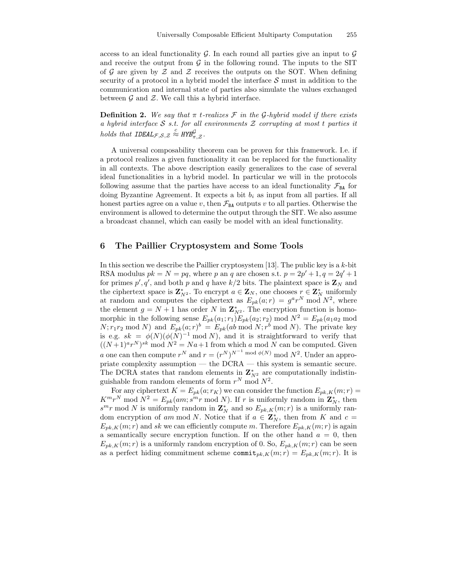access to an ideal functionality G. In each round all parties give an input to  $\mathcal G$ and receive the output from  $\mathcal G$  in the following round. The inputs to the SIT of G are given by Z and Z receives the outputs on the SOT. When defining security of a protocol in a hybrid model the interface  $S$  must in addition to the communication and internal state of parties also simulate the values exchanged between  $\mathcal G$  and  $\mathcal Z$ . We call this a hybrid interface.

**Definition 2.** We say that  $\pi$  t-realizes  $\mathcal F$  in the  $\mathcal G$ -hybrid model if there exists a hybrid interface  $S$  s.t. for all environments  $Z$  corrupting at most t parties it holds that **IDEAL** $f_{\mathcal{F},\mathcal{S},\mathcal{Z}} \stackrel{c}{\approx} HYB_{\pi,\mathcal{Z}}^{\mathcal{G}}$ .

A universal composability theorem can be proven for this framework. I.e. if a protocol realizes a given functionality it can be replaced for the functionality in all contexts. The above description easily generalizes to the case of several ideal functionalities in a hybrid model. In particular we will in the protocols following assume that the parties have access to an ideal functionality  $\mathcal{F}_{BA}$  for doing Byzantine Agreement. It expects a bit  $b_i$  as input from all parties. If all honest parties agree on a value v, then  $\mathcal{F}_{BA}$  outputs v to all parties. Otherwise the environment is allowed to determine the output through the SIT. We also assume a broadcast channel, which can easily be model with an ideal functionality.

### 6 The Paillier Cryptosystem and Some Tools

In this section we describe the Paillier cryptosystem [13]. The public key is a  $k$ -bit RSA modulus  $pk = N = pq$ , where p an q are chosen s.t.  $p = 2p' + 1$ ,  $q = 2q' + 1$ for primes  $p', q'$ , and both p and q have  $k/2$  bits. The plaintext space is  $\mathbf{Z}_N$  and the ciphertext space is  $\mathbf{Z}_{N^2}^*$ . To encrypt  $a \in \mathbf{Z}_N$ , one chooses  $r \in \mathbf{Z}_N^*$  uniformly at random and computes the ciphertext as  $E_{pk}(a; r) = g^a r^N \mod N^2$ , where the element  $g = N + 1$  has order N in  $\mathbb{Z}_{N^2}^*$ . The encryption function is homomorphic in the following sense  $E_{pk}(a_1; r_1)E_{pk}(a_2; r_2) \text{ mod } N^2 = E_{pk}(a_1a_2 \text{ mod } n^2)$  $N; r_1r_2 \text{ mod } N$  and  $E_{pk}(a; r)^b = E_{pk}(ab \text{ mod } N; r^b \text{ mod } N)$ . The private key is e.g.  $sk = \phi(N)(\phi(N)^{-1} \text{ mod } N)$ , and it is straightforward to verify that  $((N+1)^{a}r^{N})^{sk}$  mod  $N^{2} = Na + 1$  from which a mod N can be computed. Given a one can then compute  $r^N$  and  $r = (r^N)^{N^{-1} \bmod{\phi(N)}}$  mod  $N^2$ . Under an appropriate complexity assumption — the DCRA — this system is semantic secure. The DCRA states that random elements in  $\mathbf{Z}_{N^2}^*$  are computationally indistinguishable from random elements of form  $r^N$  mod  $N^2$ .

For any ciphertext  $K = E_{pk}(a; r_K)$  we can consider the function  $E_{pk,K}(m; r)$  =  $K^m r^N \bmod N^2 = E_{pk}(am; s^m r \bmod N)$ . If r is uniformly random in  $\mathbf{Z}_N^*$ , then  $s^{m}r \mod N$  is uniformly random in  $\mathbf{Z}_{N}^{*}$  and so  $E_{pk,K}(m;r)$  is a uniformly random encryption of am mod N. Notice that if  $a \in \mathbb{Z}_N^*$ , then from K and  $c =$  $E_{pk,K}(m;r)$  and sk we can efficiently compute m. Therefore  $E_{pk,K}(m;r)$  is again a semantically secure encryption function. If on the other hand  $a = 0$ , then  $E_{pk,K}(m;r)$  is a uniformly random encryption of 0. So,  $E_{pk,K}(m;r)$  can be seen as a perfect hiding commitment scheme commit<sub>pk,K</sub> $(m; r) = E_{pk,K}(m; r)$ . It is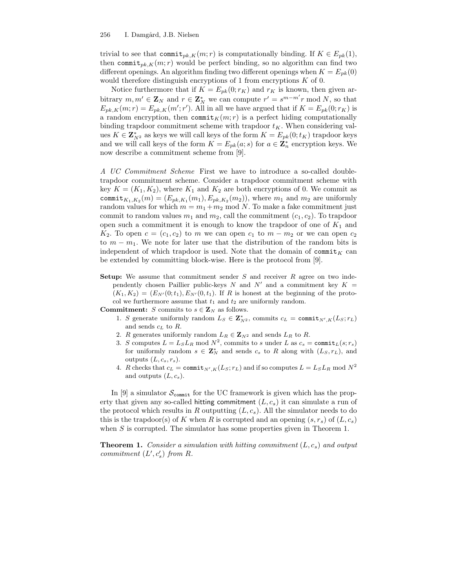#### 256 I. Damgård, J.B. Nielsen

trivial to see that commit<sub>pk,K</sub> $(m; r)$  is computationally binding. If  $K \in E_{pk}(1)$ , then commit<sub>pk,K</sub> $(m; r)$  would be perfect binding, so no algorithm can find two different openings. An algorithm finding two different openings when  $K = E_{pk}(0)$ would therefore distinguish encryptions of 1 from encryptions  $K$  of 0.

Notice furthermore that if  $K = E_{pk}(0; r_K)$  and  $r_K$  is known, then given arbitrary  $m, m' \in \mathbf{Z}_N$  and  $r \in \mathbf{Z}_N^*$  we can compute  $r' = s^{m-m'}r \mod N$ , so that  $E_{pk,K}(m;r) = E_{pk,K}(m';r')$ . All in all we have argued that if  $K = E_{pk}(0;r_K)$  is a random encryption, then commit<sub>K</sub> $(m; r)$  is a perfect hiding computationally binding trapdoor commitment scheme with trapdoor  $t_K$ . When considering values  $K \in \mathbf{Z}_{N^2}^*$  as keys we will call keys of the form  $K = E_{pk}(0; t_K)$  trapdoor keys and we will call keys of the form  $K = E_{pk}(a; s)$  for  $a \in \mathbb{Z}_n^*$  encryption keys. We now describe a commitment scheme from [9].

A UC Commitment Scheme First we have to introduce a so-called doubletrapdoor commitment scheme. Consider a trapdoor commitment scheme with key  $K = (K_1, K_2)$ , where  $K_1$  and  $K_2$  are both encryptions of 0. We commit as commit<sub>K<sub>1</sub>,K<sub>2</sub></sub> $(m) = (E_{pk,K_1}(m_1), E_{pk,K_2}(m_2))$ , where  $m_1$  and  $m_2$  are uniformly random values for which  $m = m_1 + m_2$  mod N. To make a fake commitment just commit to random values  $m_1$  and  $m_2$ , call the commitment  $(c_1, c_2)$ . To trapdoor open such a commitment it is enough to know the trapdoor of one of  $K_1$  and K<sub>2</sub>. To open  $c = (c_1, c_2)$  to m we can open  $c_1$  to  $m - m_2$  or we can open  $c_2$ to  $m - m<sub>1</sub>$ . We note for later use that the distribution of the random bits is independent of which trapdoor is used. Note that the domain of commit<sub>K</sub> can be extended by committing block-wise. Here is the protocol from [9].

**Setup:** We assume that commitment sender  $S$  and receiver  $R$  agree on two independently chosen Paillier public-keys  $N$  and  $N'$  and a commitment key  $K =$  $(K_1, K_2) = (E_{N'}(0, t_1), E_{N'}(0, t_1))$ . If R is honest at the beginning of the protocol we furthermore assume that  $t_1$  and  $t_2$  are uniformly random.

**Commitment:** S commits to  $s \in \mathbb{Z}_N$  as follows.

- 1. S generate uniformly random  $L_S \in \mathbf{Z}_{N^2}^*$ , commits  $c_L = \text{commit}_{N',K}(L_S; r_L)$ and sends  $c<sub>L</sub>$  to  $R$ .
- 2. R generates uniformly random  $L_R \in \mathbf{Z}_{N^2}$  and sends  $L_R$  to R.
- 3. S computes  $L = L_S L_R \text{ mod } N^2$ , commits to s under L as  $c_s = \text{commit}_L(s; r_s)$ for uniformly random  $s \in \mathbb{Z}_N^*$  and sends  $c_s$  to R along with  $(L_S, r_L)$ , and outputs  $(L, c_s, r_s)$ .
- 4. R checks that  $c_L = \text{commit}_{N',K}(L_S; r_L)$  and if so computes  $L = L_S L_R \text{ mod } N^2$ and outputs  $(L, c_s)$ .

In [9] a simulator  $S_{\text{commit}}$  for the UC framework is given which has the property that given any so-called hitting commitment  $(L, c_s)$  it can simulate a run of the protocol which results in R outputting  $(L, c_s)$ . All the simulator needs to do this is the trapdoor(s) of K when R is corrupted and an opening  $(s, r_s)$  of  $(L, c_s)$ when  $S$  is corrupted. The simulator has some properties given in Theorem 1.

**Theorem 1.** Consider a simulation with hitting commitment  $(L, c_s)$  and output commitment  $(L', c'_s)$  from R.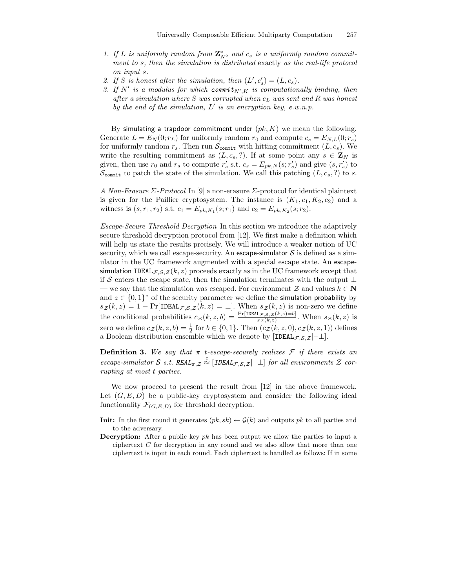- 1. If L is uniformly random from  $\mathbf{Z}_{N^2}^*$  and  $c_s$  is a uniformly random commitment to s, then the simulation is distributed exactly as the real-life protocol on input s.
- 2. If S is honest after the simulation, then  $(L', c'_s) = (L, c_s)$ .
- 3. If N' is a modulus for which commit<sub>N',K</sub> is computationally binding, then after a simulation where S was corrupted when  $c<sub>L</sub>$  was sent and R was honest by the end of the simulation,  $L'$  is an encryption key, e.w.n.p.

By simulating a trapdoor commitment under  $(pk, K)$  we mean the following. Generate  $L = E_N(0; r_L)$  for uniformly random  $r_0$  and compute  $c_s = E_{N,L}(0; r_s)$ for uniformly random  $r_s$ . Then run  $\mathcal{S}_{\text{commit}}$  with hitting commitment  $(L, c_s)$ . We write the resulting commitment as  $(L, c_s, ?)$ . If at some point any  $s \in \mathbf{Z}_N$  is given, then use  $r_0$  and  $r_s$  to compute  $r'_s$  s.t.  $c_s = E_{pk,N}(s; r'_s)$  and give  $(s, r'_s)$  to  $\mathcal{S}_{\text{commit}}$  to patch the state of the simulation. We call this patching  $(L, c_s, ?)$  to s.

A Non-Erasure  $\Sigma$ -Protocol In [9] a non-erasure  $\Sigma$ -protocol for identical plaintext is given for the Paillier cryptosystem. The instance is  $(K_1, c_1, K_2, c_2)$  and a witness is  $(s, r_1, r_2)$  s.t.  $c_1 = E_{pk, K_1}(s; r_1)$  and  $c_2 = E_{pk, K_2}(s; r_2)$ .

Escape-Secure Threshold Decryption In this section we introduce the adaptively secure threshold decryption protocol from [12]. We first make a definition which will help us state the results precisely. We will introduce a weaker notion of UC security, which we call escape-security. An escape-simulator  $S$  is defined as a simulator in the UC framework augmented with a special escape state. An escapesimulation IDEAL $_{\mathcal{F},\mathcal{S},\mathcal{Z}}(k,z)$  proceeds exactly as in the UC framework except that if S enters the escape state, then the simulation terminates with the output  $\perp$ — we say that the simulation was escaped. For environment  $\mathcal Z$  and values  $k \in \mathbb N$ and  $z \in \{0,1\}^*$  of the security parameter we define the simulation probability by  $s_{\mathcal{Z}}(k, z) = 1 - \Pr[\text{IDEAL}_{\mathcal{F}, \mathcal{S}, \mathcal{Z}}(k, z) = \bot].$  When  $s_{\mathcal{Z}}(k, z)$  is non-zero we define the conditional probabilities  $c_{\mathcal{Z}}(k, z, b) = \frac{\Pr[\text{IDEAL}_{\mathcal{F}, S, \mathcal{Z}}(k, z) = b]}{s_{\mathcal{Z}}(k, z)}$  $\frac{\log s}{s_Z(k,z)}$ . When  $s_Z(k,z)$  is zero we define  $c_{\mathcal{Z}}(k, z, b) = \frac{1}{2}$  for  $b \in \{0, 1\}$ . Then  $(c_{\mathcal{Z}}(k, z, 0), c_{\mathcal{Z}}(k, z, 1))$  defines a Boolean distribution ensemble which we denote by  $[\text{IDEAL}_{\mathcal{F},\mathcal{S},\mathcal{Z}}|\neg \bot].$ 

**Definition 3.** We say that  $\pi$  t-escape-securely realizes  $\mathcal{F}$  if there exists an escape-simulator S s.t.  $REAL_{\pi, \mathcal{Z}} \stackrel{c}{\approx} [\text{IDEAL}_{\mathcal{F}, \mathcal{S}, \mathcal{Z}} | - \bot]$  for all environments Z corrupting at most t parties.

We now proceed to present the result from [12] in the above framework. Let  $(G, E, D)$  be a public-key cryptosystem and consider the following ideal functionality  $\mathcal{F}_{(G,E,D)}$  for threshold decryption.

- **Init:** In the first round it generates  $(pk, sk) \leftarrow \mathcal{G}(k)$  and outputs pk to all parties and to the adversary.
- **Decryption:** After a public key  $pk$  has been output we allow the parties to input a ciphertext  $C$  for decryption in any round and we also allow that more than one ciphertext is input in each round. Each ciphertext is handled as follows: If in some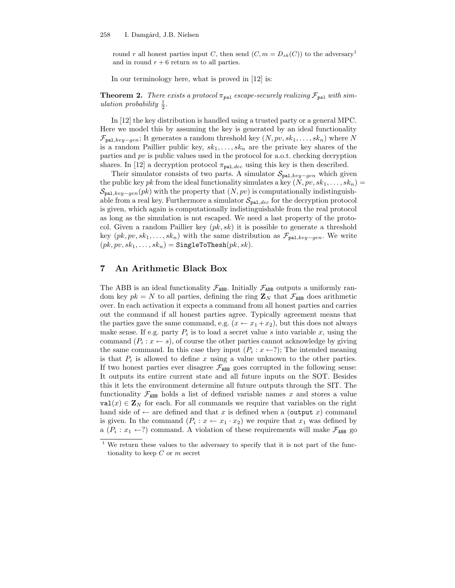round r all honest parties input C, then send  $(C, m = D_{sk}(C))$  to the adversary<sup>1</sup> and in round  $r + 6$  return m to all parties.

In our terminology here, what is proved in [12] is:

**Theorem 2.** There exists a protocol  $\pi_{pal}$  escape-securely realizing  $\mathcal{F}_{pal}$  with simulation probability  $\frac{1}{2}$ .

In [12] the key distribution is handled using a trusted party or a general MPC. Here we model this by assuming the key is generated by an ideal functionality  $\mathcal{F}_{\text{pal},key-gen}$ ; It generates a random threshold key  $(N,pv,sk_1,\ldots, sk_n)$  where N is a random Paillier public key,  $sk_1, \ldots, sk_n$  are the private key shares of the parties and pv is public values used in the protocol for a.o.t. checking decryption shares. In [12] a decryption protocol  $\pi_{\text{pal},dec}$  using this key is then described.

Their simulator consists of two parts. A simulator  $S_{\text{pal},key-gen}$  which given the public key pk from the ideal functionality simulates a key  $(N, pv, sk_1, \ldots, sk_n)$  $\mathcal{S}_{\text{pal},key-gen}(pk)$  with the property that  $(N, pv)$  is computationally indistinguishable from a real key. Furthermore a simulator  $S_{\text{pal,dec}}$  for the decryption protocol is given, which again is computationally indistinguishable from the real protocol as long as the simulation is not escaped. We need a last property of the protocol. Given a random Paillier key  $(pk, sk)$  it is possible to generate a threshold key  $(pk, pv, sk_1, \ldots, sk_n)$  with the same distribution as  $\mathcal{F}_{\text{pal},key-gen}$ . We write  $(pk, pv, sk_1, \ldots, sk_n) =$ SingleToThesh $(pk, sk)$ .

# 7 An Arithmetic Black Box

The ABB is an ideal functionality  $\mathcal{F}_{ABB}$ . Initially  $\mathcal{F}_{ABB}$  outputs a uniformly random key  $pk = N$  to all parties, defining the ring  $\mathbf{Z}_N$  that  $\mathcal{F}_{ABB}$  does arithmetic over. In each activation it expects a command from all honest parties and carries out the command if all honest parties agree. Typically agreement means that the parties gave the same command, e.g.  $(x \leftarrow x_1 + x_2)$ , but this does not always make sense. If e.g. party  $P_i$  is to load a secret value s into variable x, using the command  $(P_i: x \leftarrow s)$ , of course the other parties cannot acknowledge by giving the same command. In this case they input  $(P_i : x \leftarrow ?)$ ; The intended meaning is that  $P_i$  is allowed to define x using a value unknown to the other parties. If two honest parties ever disagree  $\mathcal{F}_{ABB}$  goes corrupted in the following sense: It outputs its entire current state and all future inputs on the SOT. Besides this it lets the environment determine all future outputs through the SIT. The functionality  $\mathcal{F}_{ABB}$  holds a list of defined variable names x and stores a value  $\text{val}(x) \in \mathbf{Z}_N$  for each. For all commands we require that variables on the right hand side of  $\leftarrow$  are defined and that x is defined when a (output x) command is given. In the command  $(P_i : x \leftarrow x_1 \cdot x_2)$  we require that  $x_1$  was defined by a  $(P_i : x_1 \leftarrow ?)$  command. A violation of these requirements will make  $\mathcal{F}_{ABB}$  go

<sup>&</sup>lt;sup>1</sup> We return these values to the adversary to specify that it is not part of the functionality to keep C or m secret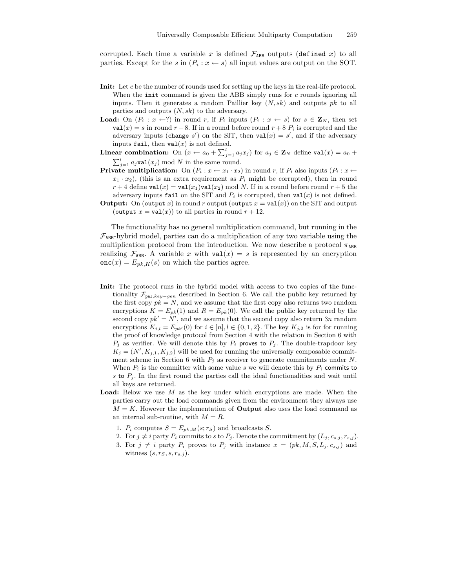corrupted. Each time a variable x is defined  $\mathcal{F}_{ABB}$  outputs (defined x) to all parties. Except for the s in  $(P_i : x \leftarrow s)$  all input values are output on the SOT.

- Init: Let c be the number of rounds used for setting up the keys in the real-life protocol. When the init command is given the ABB simply runs for  $c$  rounds ignoring all inputs. Then it generates a random Paillier key  $(N, sk)$  and outputs pk to all parties and outputs  $(N, sk)$  to the adversary.
- **Load:** On  $(P_i : x \leftarrow ?)$  in round r, if  $P_i$  inputs  $(P_i : x \leftarrow s)$  for  $s \in \mathbb{Z}_N$ , then set  $val(x) = s$  in round  $r + 8$ . If in a round before round  $r + 8$   $P_i$  is corrupted and the adversary inputs (change s') on the SIT, then  $val(x) = s'$ , and if the adversary inputs fail, then  $val(x)$  is not defined.
- **Linear combination:** On  $(x \leftarrow a_0 + \sum_{j=1}^l a_j x_j)$  for  $a_j \in \mathbf{Z}_N$  define  $\text{val}(x) = a_0 + \sum_{j=1}^l a_j x_j$  $\sum_{j=1}^{l} a_j \text{val}(x_j) \text{ mod } N$  in the same round.
- **Private multiplication:** On  $(P_i : x \leftarrow x_1 \cdot x_2)$  in round r, if  $P_i$  also inputs  $(P_i : x \leftarrow$  $x_1 \cdot x_2$ , (this is an extra requirement as  $P_i$  might be corrupted), then in round  $r+4$  define val $(x) = \text{val}(x_1)$ val $(x_2)$  mod N. If in a round before round  $r+5$  the adversary inputs fail on the SIT and  $P_i$  is corrupted, then  $\text{val}(x)$  is not defined.
- **Output:** On (output x) in round r output (output  $x = \text{val}(x)$ ) on the SIT and output (output  $x = val(x)$ ) to all parties in round  $r + 12$ .

The functionality has no general multiplication command, but running in the  $\mathcal{F}_{ABB}$ -hybrid model, parties can do a multiplication of any two variable using the multiplication protocol from the introduction. We now describe a protocol  $\pi_{ABB}$ realizing  $\mathcal{F}_{ABB}$ . A variable x with  $\text{val}(x) = s$  is represented by an encryption  $enc(x) = E_{pk,K}(s)$  on which the parties agree.

- Init: The protocol runs in the hybrid model with access to two copies of the functionality  $\mathcal{F}_{\text{pal},key-qen}$  described in Section 6. We call the public key returned by the first copy  $pk = N$ , and we assume that the first copy also returns two random encryptions  $K = E_{pk}(1)$  and  $R = E_{pk}(0)$ . We call the public key returned by the second copy  $pk' = N'$ , and we assume that the second copy also return 3n random encryptions  $K_{i,l} = E_{pk'}(0)$  for  $i \in [n], l \in \{0,1,2\}$ . The key  $K_{i,0}$  is for for running the proof of knowledge protocol from Section 4 with the relation in Section 6 with  $P_j$  as verifier. We will denote this by  $P_i$  proves to  $P_j$ . The double-trapdoor key  $K_j = (N', K_{j,1}, K_{j,2})$  will be used for running the universally composable commitment scheme in Section 6 with  $P_j$  as receiver to generate commitments under N. When  $P_i$  is the committer with some value s we will denote this by  $P_i$  commits to s to  $P_j$ . In the first round the parties call the ideal functionalities and wait until all keys are returned.
- **Load:** Below we use  $M$  as the key under which encryptions are made. When the parties carry out the load commands given from the environment they always use  $M = K$ . However the implementation of **Output** also uses the load command as an internal sub-routine, with  $M = R$ .
	- 1.  $P_i$  computes  $S = E_{pk,M}(s; r_S)$  and broadcasts S.
	- 2. For  $j \neq i$  party  $P_i$  commits to s to  $P_j$ . Denote the commitment by  $(L_j, c_{s,j}, r_{s,j})$ .
	- 3. For  $j \neq i$  party  $P_i$  proves to  $P_j$  with instance  $x = (pk, M, S, L_j, c_{s,j})$  and witness  $(s, r<sub>S</sub>, s, r<sub>s,j</sub>)$ .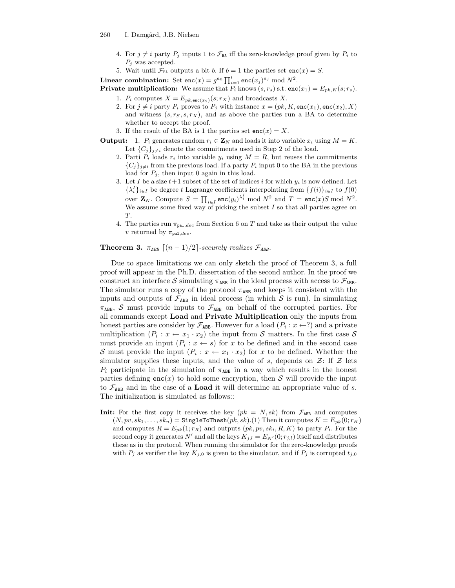- 260 I. Damgård, J.B. Nielsen
	- 4. For  $j \neq i$  party  $P_j$  inputs 1 to  $\mathcal{F}_{BA}$  iff the zero-knowledge proof given by  $P_i$  to  $P_i$  was accepted.

5. Wait until  $\mathcal{F}_{BA}$  outputs a bit b. If  $b = 1$  the parties set  $enc(x) = S$ .

Linear combination: Set enc $(x) = g^{a_0} \prod_{i=1}^l \text{enc}(x_j)^{a_j} \mod N^2$ .

**Private multiplication:** We assume that  $P_i$  knows  $(s, r_s)$  s.t.  $\texttt{enc}(x_1) = E_{pk,K}(s; r_s)$ .

- 1.  $P_i$  computes  $X = E_{pk,enc(x_2)}(s; r_X)$  and broadcasts X.
- 2. For  $j \neq i$  party  $P_i$  proves to  $P_j$  with instance  $x = (pk, K, \texttt{enc}(x_1), \texttt{enc}(x_2), X)$ and witness  $(s, r<sub>S</sub>, s, r<sub>X</sub>)$ , and as above the parties run a BA to determine whether to accept the proof.
- 3. If the result of the BA is 1 the parties set  $enc(x) = X$ .
- **Output:** 1.  $P_i$  generates random  $r_i \in \mathbb{Z}_N$  and loads it into variable  $x_i$  using  $M = K$ . Let  $\{C_j\}_{j\neq i}$  denote the commitments used in Step 2 of the load.
	- 2. Parti  $P_i$  loads  $r_i$  into variable  $y_i$  using  $M = R$ , but reuses the commitments  ${C_i}_{i \neq i}$  from the previous load. If a party  $P_i$  input 0 to the BA in the previous load for  $P_j$ , then input 0 again in this load.
	- 3. Let I be a size  $t+1$  subset of the set of indices i for which  $y_i$  is now defined. Let  $\{\lambda_i^I\}_{i\in I}$  be degree t Lagrange coefficients interpolating from  $\{f(i)\}_{i\in I}$  to  $f(0)$ over  $\mathbf{Z}_N$ . Compute  $S = \prod_{i \in I} \mathsf{enc}(y_i)^{\lambda_i^I} \bmod N^2$  and  $T = \mathsf{enc}(x)S \bmod N^2$ . We assume some fixed way of picking the subset  $I$  so that all parties agree on  $T$ .
	- 4. The parties run  $\pi_{\text{pal},dec}$  from Section 6 on T and take as their output the value v returned by  $\pi_{\text{pal},dec}$ .

### **Theorem 3.**  $\pi_{ABB}$   $\lceil (n-1)/2 \rceil$ -securely realizes  $\mathcal{F}_{ABB}$ .

Due to space limitations we can only sketch the proof of Theorem 3, a full proof will appear in the Ph.D. dissertation of the second author. In the proof we construct an interface S simulating  $\pi_{ABB}$  in the ideal process with access to  $\mathcal{F}_{ABB}$ . The simulator runs a copy of the protocol  $\pi_{ABB}$  and keeps it consistent with the inputs and outputs of  $\mathcal{F}_{ABB}$  in ideal process (in which S is run). In simulating  $\pi_{ABB}$ , S must provide inputs to  $\mathcal{F}_{ABB}$  on behalf of the corrupted parties. For all commands except Load and Private Multiplication only the inputs from honest parties are consider by  $\mathcal{F}_{\text{ABB}}$ . However for a load  $(P_i : x \leftarrow ?)$  and a private multiplication  $(P_i : x \leftarrow x_1 \cdot x_2)$  the input from S matters. In the first case S must provide an input  $(P_i : x \leftarrow s)$  for x to be defined and in the second case S must provide the input  $(P_i : x \leftarrow x_1 \cdot x_2)$  for x to be defined. Whether the simulator supplies these inputs, and the value of s, depends on  $\mathcal{Z}$ : If  $\mathcal{Z}$  lets  $P_i$  participate in the simulation of  $\pi_{ABB}$  in a way which results in the honest parties defining  $enc(x)$  to hold some encryption, then S will provide the input to  $\mathcal{F}_{ABB}$  and in the case of a **Load** it will determine an appropriate value of s. The initialization is simulated as follows::

**Init:** For the first copy it receives the key  $(pk = N, sk)$  from  $\mathcal{F}_{ABB}$  and computes  $(N, pv, sk_1, \ldots, sk_n) =$  SingleToThesh $(pk, sk)$ .(1) Then it computes  $K = E_{pk}(0; rK)$ and computes  $R = E_{pk}(1; r_R)$  and outputs  $(pk, pv, sk_i, R, K)$  to party  $P_i$ . For the second copy it generates N' and all the keys  $K_{j,l} = E_{N'}(0; r_{j,l})$  itself and distributes these as in the protocol. When running the simulator for the zero-knowledge proofs with  $P_j$  as verifier the key  $K_{j,0}$  is given to the simulator, and if  $P_j$  is corrupted  $t_{j,0}$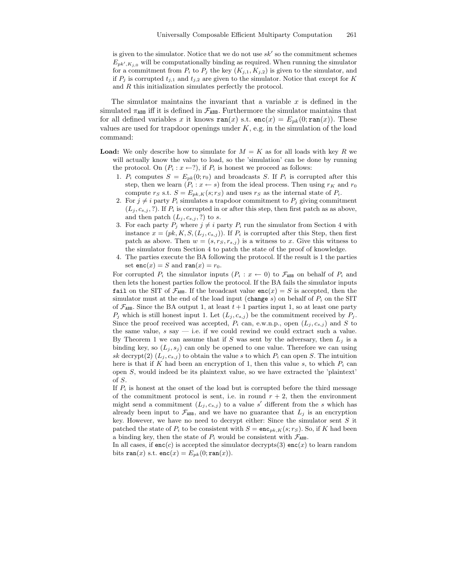is given to the simulator. Notice that we do not use  $sk'$  so the commitment schemes  $E_{pk', K_{j,0}}$  will be computationally binding as required. When running the simulator for a commitment from  $P_i$  to  $P_j$  the key  $(K_{j,1}, K_{j,2})$  is given to the simulator, and if  $P_j$  is corrupted  $t_{j,1}$  and  $t_{j,2}$  are given to the simulator. Notice that except for K and R this initialization simulates perfectly the protocol.

The simulator maintains the invariant that a variable  $x$  is defined in the simulated  $\pi_{ABB}$  iff it is defined in  $\mathcal{F}_{ABB}$ . Furthermore the simulator maintains that for all defined variables x it knows  $ran(x)$  s.t.  $enc(x) = E_{pk}(0, ran(x))$ . These values are used for trapdoor openings under  $K$ , e.g. in the simulation of the load command:

- **Load:** We only describe how to simulate for  $M = K$  as for all loads with key R we will actually know the value to load, so the 'simulation' can be done by running the protocol. On  $(P_i : x \leftarrow ?)$ , if  $P_i$  is honest we proceed as follows:
	- 1.  $P_i$  computes  $S = E_{pk}(0; r_0)$  and broadcasts S. If  $P_i$  is corrupted after this step, then we learn  $(P_i : x \leftarrow s)$  from the ideal process. Then using  $r_K$  and  $r_0$ compute  $r_S$  s.t.  $S = E_{pk,K}(s; r_S)$  and uses  $r_S$  as the internal state of  $P_i$ .
	- 2. For  $j \neq i$  party  $P_i$  simulates a trapdoor commitment to  $P_j$  giving commitment  $(L_i, c_{s,i}, ?)$ . If  $P_i$  is corrupted in or after this step, then first patch as as above, and then patch  $(L_j, c_{s,j}, ?)$  to s.
	- 3. For each party  $P_i$  where  $j \neq i$  party  $P_i$  run the simulator from Section 4 with instance  $x = (pk, K, S, (L_j, c_{s,j}))$ . If  $P_i$  is corrupted after this Step, then first patch as above. Then  $w = (s, r<sub>S</sub>, r<sub>s,j</sub>)$  is a witness to x. Give this witness to the simulator from Section 4 to patch the state of the proof of knowledge.
	- 4. The parties execute the BA following the protocol. If the result is 1 the parties set enc $(x) = S$  and  $ran(x) = r_0$ .

For corrupted  $P_i$  the simulator inputs  $(P_i : x \leftarrow 0)$  to  $\mathcal{F}_{ABB}$  on behalf of  $P_i$  and then lets the honest parties follow the protocol. If the BA fails the simulator inputs fail on the SIT of  $\mathcal{F}_{ABB}$ . If the broadcast value  $enc(x) = S$  is accepted, then the simulator must at the end of the load input (change s) on behalf of  $P_i$  on the SIT of  $\mathcal{F}_{ABB}$ . Since the BA output 1, at least  $t + 1$  parties input 1, so at least one party  $P_j$  which is still honest input 1. Let  $(L_j, c_{s,j})$  be the commitment received by  $P_j$ . Since the proof received was accepted,  $P_i$  can, e.w.n.p., open  $(L_i, c_{s,i})$  and S to the same value,  $s$  say  $-$  i.e. if we could rewind we could extract such a value. By Theorem 1 we can assume that if S was sent by the adversary, then  $L_j$  is a binding key, so  $(L_i, s_i)$  can only be opened to one value. Therefore we can using sk decrypt(2)  $(L_j, c_{s,j})$  to obtain the value s to which  $P_i$  can open S. The intuition here is that if K had been an encryption of 1, then this value s, to which  $P_i$  can open S, would indeed be its plaintext value, so we have extracted the 'plaintext' of S.

If  $P_i$  is honest at the onset of the load but is corrupted before the third message of the commitment protocol is sent, i.e. in round  $r + 2$ , then the environment might send a commitment  $(L_j, c_{s,j})$  to a value s' different from the s which has already been input to  $\mathcal{F}_{ABB}$ , and we have no guarantee that  $L_j$  is an encryption key. However, we have no need to decrypt either: Since the simulator sent  $S$  it patched the state of  $P_i$  to be consistent with  $S = \texttt{enc}_{pk,K}(s; r_S)$ . So, if K had been a binding key, then the state of  $P_i$  would be consistent with  $\mathcal{F}_{ABB}$ .

In all cases, if  $enc(c)$  is accepted the simulator decrypts(3)  $enc(x)$  to learn random bits ran(x) s.t.  $enc(x) = E_{pk}(0; ran(x)).$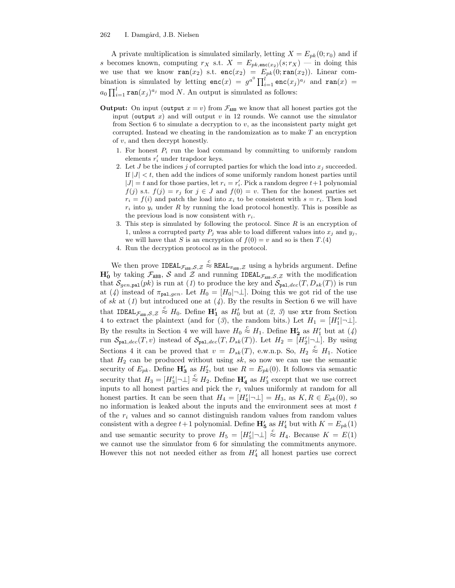A private multiplication is simulated similarly, letting  $X = E_{pk}(0; r_0)$  and if s becomes known, computing  $r_X$  s.t.  $X = E_{pk,enc(x_2)}(s; r_X)$  — in doing this we use that we know  $ran(x_2)$  s.t.  $enc(x_2) = E_{pk}(0, ran(x_2))$ . Linear combination is simulated by letting  $enc(x) = g^{a^0} \prod_{i=1}^l enc(x_j)^{a_j}$  and  $ran(x) =$  $a_0 \prod_{i=1}^{l} \text{ran}(x_j)^{a_j} \text{ mod } N$ . An output is simulated as follows:

- **Output:** On input (output  $x = v$ ) from  $\mathcal{F}_{ABB}$  we know that all honest parties got the input (output  $x$ ) and will output  $v$  in 12 rounds. We cannot use the simulator from Section 6 to simulate a decryption to  $v$ , as the inconsistent party might get corrupted. Instead we cheating in the randomization as to make  $T$  an encryption of v, and then decrypt honestly.
	- 1. For honest  $P_i$  run the load command by committing to uniformly random elements  $r'_i$  under trapdoor keys.
	- 2. Let J be the indices j of corrupted parties for which the load into  $x_i$  succeeded. If  $|J| < t$ , then add the indices of some uniformly random honest parties until  $|J| = t$  and for those parties, let  $r_i = r'_i$ . Pick a random degree  $t+1$  polynomial  $f(j)$  s.t.  $f(j) = r_j$  for  $j \in J$  and  $f(0) = v$ . Then for the honest parties set  $r_i = f(i)$  and patch the load into  $x_i$  to be consistent with  $s = r_i$ . Then load  $r_i$  into  $y_i$  under R by running the load protocol honestly. This is possible as the previous load is now consistent with  $r_i$ .
	- 3. This step is simulated by following the protocol. Since  $R$  is an encryption of 1, unless a corrupted party  $P_j$  was able to load different values into  $x_j$  and  $y_j$ , we will have that S is an encryption of  $f(0) = v$  and so is then  $T.(4)$
	- 4. Run the decryption protocol as in the protocol.

We then prove IDEAL $_{\mathcal{F}_{\text{ABB}},\mathcal{S},\mathcal{Z}} \stackrel{c}{\approx} \text{REAL}_{\pi_{\text{ABB}},\mathcal{Z}}$  using a hybrids argument. Define  $H_0'$  by taking  $\mathcal{F}_{ABB}$ , S and  $Z$  and running IDEAL $_{\mathcal{F}_{ABB},S,Z}$  with the modification that  $S_{gen,pal}(pk)$  is run at (1) to produce the key and  $S_{pal,dec}(T, D_{sk}(T))$  is run at (4) instead of  $\pi_{\text{pal},gen}$ . Let  $H_0 = [H_0 | \neg \bot]$ . Doing this we got rid of the use of sk at  $(1)$  but introduced one at  $(4)$ . By the results in Section 6 we will have that IDEAL $_{\mathcal{F}_{\text{ABB}},\mathcal{S},\mathcal{Z}} \stackrel{c}{\approx} H_0$ . Define  $\mathbf{H}'_1$  as  $H'_0$  but at  $(2, 3)$  use xtr from Section 4 to extract the plaintext (and for  $(3)$ , the random bits.) Let  $H_1 = [H'_1 | \neg \bot]$ . By the results in Section 4 we will have  $H_0 \stackrel{c}{\approx} H_1$ . Define  $\mathbf{H'_2}$  as  $H'_1$  but at  $(4)$ run  $S_{\text{pal},dec}(T,v)$  instead of  $S_{\text{pal},dec}(T, D_{sk}(T))$ . Let  $H_2 = [H'_2|\neg \perp]$ . By using Sections 4 it can be proved that  $v = D_{sk}(T)$ , e.w.n.p. So,  $H_2 \stackrel{c}{\approx} H_1$ . Notice that  $H_2$  can be produced without using sk, so now we can use the semantic security of  $E_{pk}$ . Define  $\mathbf{H}'_3$  as  $H'_2$ , but use  $R = E_{pk}(0)$ . It follows via semantic security that  $H_3 = [H_3'|\neg\bot] \stackrel{c}{\approx} H_2$ . Define  $\mathbf{H}_4'$  as  $H_3'$  except that we use correct inputs to all honest parties and pick the  $r_i$  values uniformly at random for all honest parties. It can be seen that  $H_4 = [H'_4|\neg \perp] = H_3$ , as  $K, R \in E_{pk}(0)$ , so no information is leaked about the inputs and the environment sees at most  $t$ of the  $r_i$  values and so cannot distinguish random values from random values consistent with a degree  $t+1$  polynomial. Define  $\mathbf{H}'_5$  as  $H'_4$  but with  $K = E_{pk}(1)$ and use semantic security to prove  $H_5 = [H'_5 | \neg \bot] \stackrel{c}{\approx} H_4$ . Because  $K = E(1)$ we cannot use the simulator from 6 for simulating the commitments anymore. However this not not needed either as from  $H_4'$  all honest parties use correct